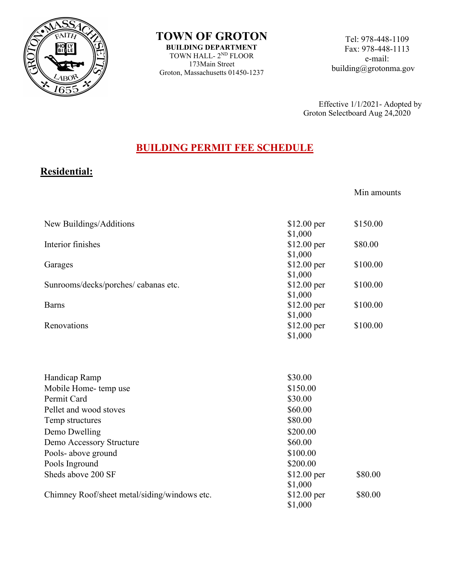

**TOWN OF GROTON BUILDING DEPARTMENT** TOWN HALL- 2ND FLOOR 173Main Street Groton, Massachusetts 01450-1237

Tel: 978-448-1109 Fax: 978-448-1113 e-mail: building@grotonma.gov

Effective 1/1/2021- Adopted by Groton Selectboard Aug 24,2020

## **BUILDING PERMIT FEE SCHEDULE**

## **Residential:**

Min amounts

| New Buildings/Additions                      | $$12.00$ per | \$150.00 |
|----------------------------------------------|--------------|----------|
|                                              | \$1,000      |          |
| Interior finishes                            | $$12.00$ per | \$80.00  |
|                                              | \$1,000      |          |
| Garages                                      | \$12.00 per  | \$100.00 |
|                                              | \$1,000      |          |
| Sunrooms/decks/porches/ cabanas etc.         | $$12.00$ per | \$100.00 |
|                                              | \$1,000      |          |
| <b>Barns</b>                                 | $$12.00$ per | \$100.00 |
|                                              | \$1,000      |          |
| Renovations                                  | $$12.00$ per | \$100.00 |
|                                              | \$1,000      |          |
|                                              |              |          |
|                                              |              |          |
| Handicap Ramp                                | \$30.00      |          |
| Mobile Home-temp use                         | \$150.00     |          |
| Permit Card                                  | \$30.00      |          |
| Pellet and wood stoves                       | \$60.00      |          |
| Temp structures                              | \$80.00      |          |
| Demo Dwelling                                | \$200.00     |          |
| Demo Accessory Structure                     | \$60.00      |          |
| Pools- above ground                          | \$100.00     |          |
| Pools Inground                               | \$200.00     |          |
| Sheds above 200 SF                           |              | \$80.00  |
|                                              | $$12.00$ per |          |
|                                              | \$1,000      | \$80.00  |
| Chimney Roof/sheet metal/siding/windows etc. | $$12.00$ per |          |
|                                              | \$1,000      |          |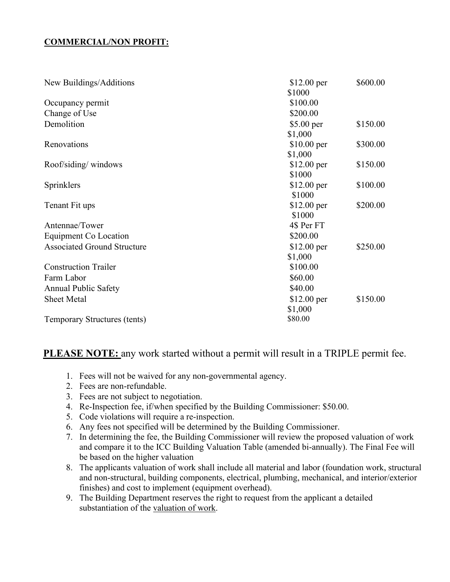## **COMMERCIAL/NON PROFIT:**

| New Buildings/Additions            | $$12.00$ per | \$600.00 |
|------------------------------------|--------------|----------|
|                                    | \$1000       |          |
| Occupancy permit                   | \$100.00     |          |
| Change of Use                      | \$200.00     |          |
| Demolition                         | $$5.00$ per  | \$150.00 |
|                                    | \$1,000      |          |
| Renovations                        | $$10.00$ per | \$300.00 |
|                                    | \$1,000      |          |
| Roof/siding/windows                | $$12.00$ per | \$150.00 |
|                                    | \$1000       |          |
| Sprinklers                         | $$12.00$ per | \$100.00 |
|                                    | \$1000       |          |
| Tenant Fit ups                     | $$12.00$ per | \$200.00 |
|                                    | \$1000       |          |
| Antennae/Tower                     | 4\$ Per FT   |          |
| Equipment Co Location              | \$200.00     |          |
| <b>Associated Ground Structure</b> | $$12.00$ per | \$250.00 |
|                                    | \$1,000      |          |
| <b>Construction Trailer</b>        | \$100.00     |          |
| Farm Labor                         | \$60.00      |          |
| <b>Annual Public Safety</b>        | \$40.00      |          |
| <b>Sheet Metal</b>                 | $$12.00$ per | \$150.00 |
|                                    | \$1,000      |          |
| Temporary Structures (tents)       | \$80.00      |          |

## **PLEASE NOTE:** any work started without a permit will result in a TRIPLE permit fee.

- 1. Fees will not be waived for any non-governmental agency.
- 2. Fees are non-refundable.
- 3. Fees are not subject to negotiation.
- 4. Re-Inspection fee, if/when specified by the Building Commissioner: \$50.00.
- 5. Code violations will require a re-inspection.
- 6. Any fees not specified will be determined by the Building Commissioner.
- 7. In determining the fee, the Building Commissioner will review the proposed valuation of work and compare it to the ICC Building Valuation Table (amended bi-annually). The Final Fee will be based on the higher valuation
- 8. The applicants valuation of work shall include all material and labor (foundation work, structural and non-structural, building components, electrical, plumbing, mechanical, and interior/exterior finishes) and cost to implement (equipment overhead).
- 9. The Building Department reserves the right to request from the applicant a detailed substantiation of the valuation of work.